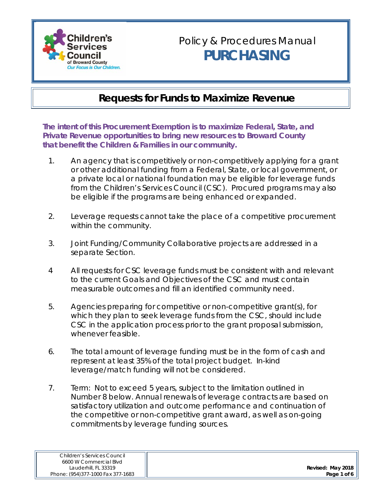

#### **Requests for Funds to Maximize Revenue**

**The intent of this Procurement Exemption is to maximize Federal, State, and Private Revenue opportunities to bring new resources to Broward County that benefit the Children & Families in our community.**

- 1. An agency that is competitively or non-competitively applying for a grant or other additional funding from a Federal, State, or local government, or a private local or national foundation may be eligible for leverage funds from the Children's Services Council (CSC). Procured programs may also be eligible if the programs are being enhanced or expanded.
- 2. Leverage requests cannot take the place of a competitive procurement within the community.
- 3. Joint Funding/Community Collaborative projects are addressed in a separate Section.
- 4 All requests for CSC leverage funds must be consistent with and relevant to the current Goals and Objectives of the CSC and must contain measurable outcomes and fill an identified community need.
- 5. Agencies preparing for competitive or non-competitive grant(s), for which they plan to seek leverage funds from the CSC, should include CSC in the application process prior to the grant proposal submission, whenever feasible.
- 6. The total amount of leverage funding must be in the form of cash and represent at least 35% of the total project budget. In-kind leverage/match funding will not be considered.
- 7. Term: Not to exceed 5 years, subject to the limitation outlined in Number 8 below. Annual renewals of leverage contracts are based on satisfactory utilization and outcome performance and continuation of the competitive or non-competitive grant award, as well as on-going commitments by leverage funding sources.

| Children's Services Council       |  |  |  |
|-----------------------------------|--|--|--|
| 6600 W Commercial Blvd            |  |  |  |
| Lauderhill, FL 33319              |  |  |  |
| Phone: (954)377-1000 Fax 377-1683 |  |  |  |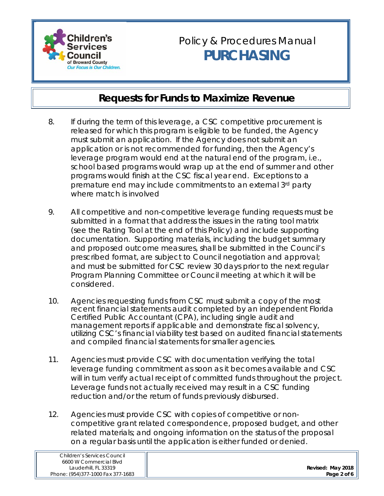

- 8. If during the term of this leverage, a CSC competitive procurement is released for which this program is eligible to be funded, the Agency must submit an application. If the Agency does not submit an application or is not recommended for funding, then the Agency's leverage program would end at the natural end of the program, i.e., school based programs would wrap up at the end of summer and other programs would finish at the CSC fiscal year end. Exceptions to a premature end may include commitments to an external 3rd party where match is involved
- 9. All competitive and non-competitive leverage funding requests must be submitted in a format that address the issues in the rating tool matrix (see the Rating Tool at the end of this Policy) and include supporting documentation. Supporting materials, including the budget summary and proposed outcome measures, shall be submitted in the Council's prescribed format, are subject to Council negotiation and approval; and must be submitted for CSC review 30 days prior to the next regular Program Planning Committee or Council meeting at which it will be considered.
- 10. Agencies requesting funds from CSC must submit a copy of the most recent financial statements audit completed by an independent Florida Certified Public Accountant (CPA), including single audit and management reports if applicable and demonstrate fiscal solvency, utilizing CSC's financial viability test based on audited financial statements and compiled financial statements for smaller agencies.
- 11. Agencies must provide CSC with documentation verifying the total leverage funding commitment as soon as it becomes available and CSC will in turn verify actual receipt of committed funds throughout the project. Leverage funds not actually received may result in a CSC funding reduction and/or the return of funds previously disbursed.
- 12. Agencies must provide CSC with copies of competitive or noncompetitive grant related correspondence, proposed budget, and other related materials; and ongoing information on the status of the proposal on a regular basis until the application is either funded or denied.

|                   | Children's Services Council       |
|-------------------|-----------------------------------|
|                   | 6600 W Commercial Blvd            |
| Revised: May 2018 | Lauderhill, FL 33319              |
| Page 2 of 6       | Phone: (954)377-1000 Fax 377-1683 |
|                   |                                   |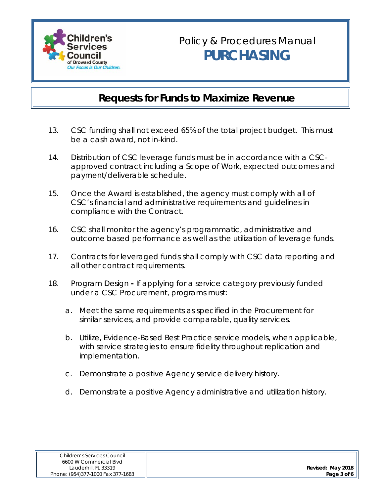

- 13. CSC funding shall not exceed 65% of the total project budget. This must be a cash award, not in-kind.
- 14. Distribution of CSC leverage funds must be in accordance with a CSCapproved contract including a Scope of Work, expected outcomes and payment/deliverable schedule.
- 15. Once the Award is established, the agency must comply with all of CSC's financial and administrative requirements and guidelines in compliance with the Contract.
- 16. CSC shall monitor the agency's programmatic, administrative and outcome based performance as well as the utilization of leverage funds.
- 17. Contracts for leveraged funds shall comply with CSC data reporting and all other contract requirements.
- 18. Program DesignIf applying for a service category previously funded under a CSC Procurement, programs must:
	- a. Meet the same requirements as specified in the Procurement for similar services, and provide comparable, quality services.
	- b. Utilize, Evidence-Based Best Practice service models, when applicable, with service strategies to ensure fidelity throughout replication and implementation.
	- c. Demonstrate a positive Agency service delivery history.
	- d. Demonstrate a positive Agency administrative and utilization history.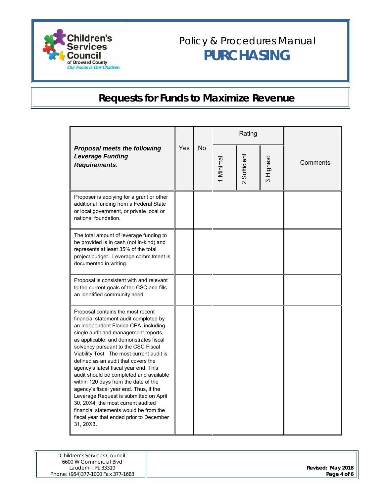

|                                                                                                                                                                                                                                                                                                                                                                                                                                                                                                                                                                                                                                                                                            |     | No | Rating    |              |            |          |
|--------------------------------------------------------------------------------------------------------------------------------------------------------------------------------------------------------------------------------------------------------------------------------------------------------------------------------------------------------------------------------------------------------------------------------------------------------------------------------------------------------------------------------------------------------------------------------------------------------------------------------------------------------------------------------------------|-----|----|-----------|--------------|------------|----------|
| <b>Proposal meets the following</b><br><b>Leverage Funding</b><br>Requirements:                                                                                                                                                                                                                                                                                                                                                                                                                                                                                                                                                                                                            | Yes |    | 1.Minimal | 2.Sufficient | 3. Highest | Comments |
| Proposer is applying for a grant or other<br>additional funding from a Federal State<br>or local government, or private local or<br>national foundation.                                                                                                                                                                                                                                                                                                                                                                                                                                                                                                                                   |     |    |           |              |            |          |
| The total amount of leverage funding to<br>be provided is in cash (not in-kind) and<br>represents at least 35% of the total<br>project budget. Leverage commitment is<br>documented in writing.                                                                                                                                                                                                                                                                                                                                                                                                                                                                                            |     |    |           |              |            |          |
| Proposal is consistent with and relevant<br>to the current goals of the CSC and fills<br>an identified community need.                                                                                                                                                                                                                                                                                                                                                                                                                                                                                                                                                                     |     |    |           |              |            |          |
| Proposal contains the most recent<br>financial statement audit completed by<br>an independent Florida CPA, including<br>single audit and management reports,<br>as applicable; and demonstrates fiscal<br>solvency pursuant to the CSC Fiscal<br>Viability Test. The most current audit is<br>defined as an audit that covers the<br>agency's latest fiscal year end. This<br>audit should be completed and available<br>within 120 days from the date of the<br>agency's fiscal year end. Thus, if the<br>Leverage Request is submitted on April<br>30, 20X4, the most current audited<br>financial statements would be from the<br>fiscal year that ended prior to December<br>31, 20X3. |     |    |           |              |            |          |

| Children's Services Council       |                   |
|-----------------------------------|-------------------|
| 6600 W Commercial Blvd            |                   |
| Lauderhill, FL 33319              | Revised: May 2018 |
| Phone: (954)377-1000 Fax 377-1683 | Page 4 of 6       |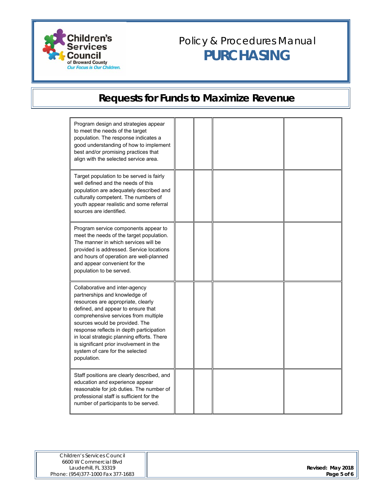

| Program design and strategies appear<br>to meet the needs of the target<br>population. The response indicates a<br>good understanding of how to implement<br>best and/or promising practices that<br>align with the selected service area.                                                                                                                                                                   |  |  |
|--------------------------------------------------------------------------------------------------------------------------------------------------------------------------------------------------------------------------------------------------------------------------------------------------------------------------------------------------------------------------------------------------------------|--|--|
| Target population to be served is fairly<br>well defined and the needs of this<br>population are adequately described and<br>culturally competent. The numbers of<br>youth appear realistic and some referral<br>sources are identified.                                                                                                                                                                     |  |  |
| Program service components appear to<br>meet the needs of the target population.<br>The manner in which services will be<br>provided is addressed. Service locations<br>and hours of operation are well-planned<br>and appear convenient for the<br>population to be served.                                                                                                                                 |  |  |
| Collaborative and inter-agency<br>partnerships and knowledge of<br>resources are appropriate, clearly<br>defined, and appear to ensure that<br>comprehensive services from multiple<br>sources would be provided. The<br>response reflects in depth participation<br>in local strategic planning efforts. There<br>is significant prior involvement in the<br>system of care for the selected<br>population. |  |  |
| Staff positions are clearly described, and<br>education and experience appear<br>reasonable for job duties. The number of<br>professional staff is sufficient for the<br>number of participants to be served.                                                                                                                                                                                                |  |  |